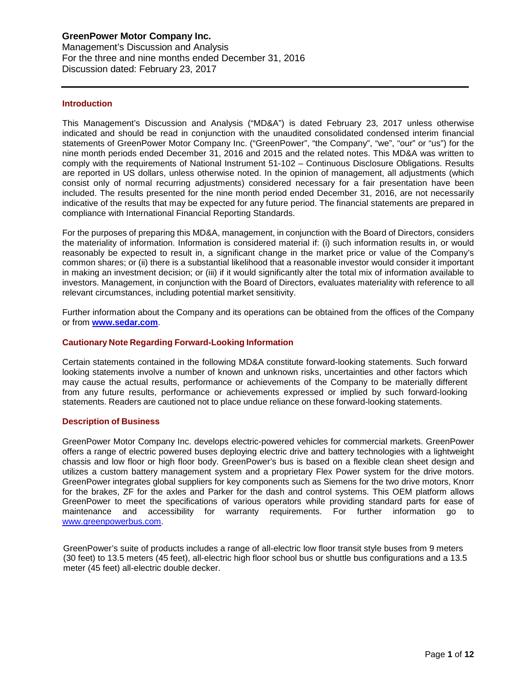### **Introduction**

This Management's Discussion and Analysis ("MD&A") is dated February 23, 2017 unless otherwise indicated and should be read in conjunction with the unaudited consolidated condensed interim financial statements of GreenPower Motor Company Inc. ("GreenPower", "the Company", "we", "our" or "us") for the nine month periods ended December 31, 2016 and 2015 and the related notes. This MD&A was written to comply with the requirements of National Instrument 51-102 – Continuous Disclosure Obligations. Results are reported in US dollars, unless otherwise noted. In the opinion of management, all adjustments (which consist only of normal recurring adjustments) considered necessary for a fair presentation have been included. The results presented for the nine month period ended December 31, 2016, are not necessarily indicative of the results that may be expected for any future period. The financial statements are prepared in compliance with International Financial Reporting Standards.

For the purposes of preparing this MD&A, management, in conjunction with the Board of Directors, considers the materiality of information. Information is considered material if: (i) such information results in, or would reasonably be expected to result in, a significant change in the market price or value of the Company's common shares; or (ii) there is a substantial likelihood that a reasonable investor would consider it important in making an investment decision; or (iii) if it would significantly alter the total mix of information available to investors. Management, in conjunction with the Board of Directors, evaluates materiality with reference to all relevant circumstances, including potential market sensitivity.

Further information about the Company and its operations can be obtained from the offices of the Company or from **[www.sedar.com](http://www.sedar.com/)**.

### **Cautionary Note Regarding Forward-Looking Information**

Certain statements contained in the following MD&A constitute forward-looking statements. Such forward looking statements involve a number of known and unknown risks, uncertainties and other factors which may cause the actual results, performance or achievements of the Company to be materially different from any future results, performance or achievements expressed or implied by such forward-looking statements. Readers are cautioned not to place undue reliance on these forward-looking statements.

#### **Description of Business**

GreenPower Motor Company Inc. develops electric-powered vehicles for commercial markets. GreenPower offers a range of electric powered buses deploying electric drive and battery technologies with a lightweight chassis and low floor or high floor body. GreenPower's bus is based on a flexible clean sheet design and utilizes a custom battery management system and a proprietary Flex Power system for the drive motors. GreenPower integrates global suppliers for key components such as Siemens for the two drive motors, Knorr for the brakes, ZF for the axles and Parker for the dash and control systems. This OEM platform allows GreenPower to meet the specifications of various operators while providing standard parts for ease of maintenance and accessibility for warranty requirements. For further information go to [www.greenpowerbus.com.](http://www.greenpowerbus.com/)

GreenPower's suite of products includes a range of all-electric low floor transit style buses from 9 meters (30 feet) to 13.5 meters (45 feet), all-electric high floor school bus or shuttle bus configurations and a 13.5 meter (45 feet) all-electric double decker.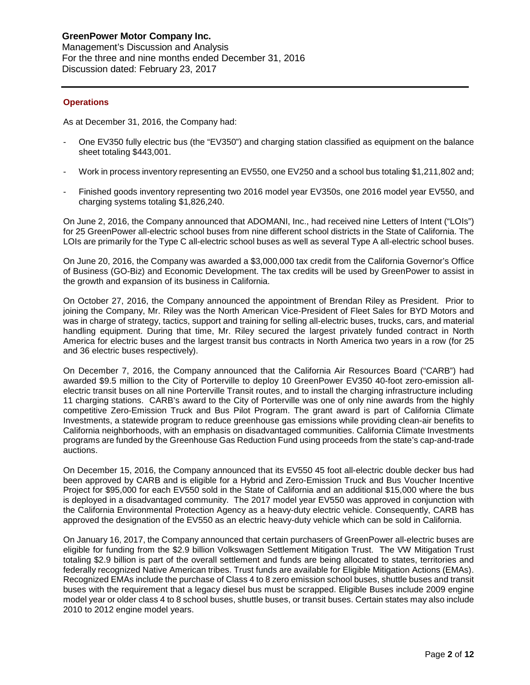## **Operations**

As at December 31, 2016, the Company had:

- One EV350 fully electric bus (the "EV350") and charging station classified as equipment on the balance sheet totaling \$443,001.
- Work in process inventory representing an EV550, one EV250 and a school bus totaling \$1,211,802 and;
- Finished goods inventory representing two 2016 model year EV350s, one 2016 model year EV550, and charging systems totaling \$1,826,240.

On June 2, 2016, the Company announced that ADOMANI, Inc., had received nine Letters of Intent ("LOIs") for 25 GreenPower all-electric school buses from nine different school districts in the State of California. The LOIs are primarily for the Type C all-electric school buses as well as several Type A all-electric school buses.

On June 20, 2016, the Company was awarded a \$3,000,000 tax credit from the California Governor's Office of Business (GO-Biz) and Economic Development. The tax credits will be used by GreenPower to assist in the growth and expansion of its business in California.

On October 27, 2016, the Company announced the appointment of Brendan Riley as President. Prior to joining the Company, Mr. Riley was the North American Vice-President of Fleet Sales for BYD Motors and was in charge of strategy, tactics, support and training for selling all-electric buses, trucks, cars, and material handling equipment. During that time, Mr. Riley secured the largest privately funded contract in North America for electric buses and the largest transit bus contracts in North America two years in a row (for 25 and 36 electric buses respectively).

On December 7, 2016, the Company announced that the California Air Resources Board ("CARB") had awarded \$9.5 million to the City of Porterville to deploy 10 GreenPower EV350 40-foot zero-emission allelectric transit buses on all nine Porterville Transit routes, and to install the charging infrastructure including 11 charging stations. CARB's award to the City of Porterville was one of only nine awards from the highly competitive Zero-Emission Truck and Bus Pilot Program. The grant award is part of California Climate Investments, a statewide program to reduce greenhouse gas emissions while providing clean-air benefits to California neighborhoods, with an emphasis on disadvantaged communities. California Climate Investments programs are funded by the Greenhouse Gas Reduction Fund using proceeds from the state's cap-and-trade auctions.

On December 15, 2016, the Company announced that its EV550 45 foot all-electric double decker bus had been approved by CARB and is eligible for a Hybrid and Zero-Emission Truck and Bus Voucher Incentive Project for \$95,000 for each EV550 sold in the State of California and an additional \$15,000 where the bus is deployed in a disadvantaged community. The 2017 model year EV550 was approved in conjunction with the California Environmental Protection Agency as a heavy-duty electric vehicle. Consequently, CARB has approved the designation of the EV550 as an electric heavy-duty vehicle which can be sold in California.

On January 16, 2017, the Company announced that certain purchasers of GreenPower all-electric buses are eligible for funding from the \$2.9 billion Volkswagen Settlement Mitigation Trust. The VW Mitigation Trust totaling \$2.9 billion is part of the overall settlement and funds are being allocated to states, territories and federally recognized Native American tribes. Trust funds are available for Eligible Mitigation Actions (EMAs). Recognized EMAs include the purchase of Class 4 to 8 zero emission school buses, shuttle buses and transit buses with the requirement that a legacy diesel bus must be scrapped. Eligible Buses include 2009 engine model year or older class 4 to 8 school buses, shuttle buses, or transit buses. Certain states may also include 2010 to 2012 engine model years.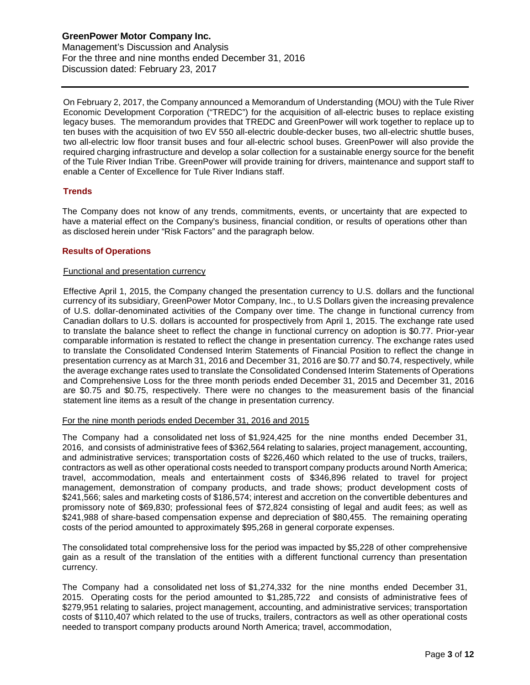On February 2, 2017, the Company announced a Memorandum of Understanding (MOU) with the Tule River Economic Development Corporation ("TREDC") for the acquisition of all-electric buses to replace existing legacy buses. The memorandum provides that TREDC and GreenPower will work together to replace up to ten buses with the acquisition of two EV 550 all-electric double-decker buses, two all-electric shuttle buses, two all-electric low floor transit buses and four all-electric school buses. GreenPower will also provide the required charging infrastructure and develop a solar collection for a sustainable energy source for the benefit of the Tule River Indian Tribe. GreenPower will provide training for drivers, maintenance and support staff to enable a Center of Excellence for Tule River Indians staff.

### **Trends**

The Company does not know of any trends, commitments, events, or uncertainty that are expected to have a material effect on the Company's business, financial condition, or results of operations other than as disclosed herein under "Risk Factors" and the paragraph below.

## **Results of Operations**

### Functional and presentation currency

Effective April 1, 2015, the Company changed the presentation currency to U.S. dollars and the functional currency of its subsidiary, GreenPower Motor Company, Inc., to U.S Dollars given the increasing prevalence of U.S. dollar-denominated activities of the Company over time. The change in functional currency from Canadian dollars to U.S. dollars is accounted for prospectively from April 1, 2015. The exchange rate used to translate the balance sheet to reflect the change in functional currency on adoption is \$0.77. Prior-year comparable information is restated to reflect the change in presentation currency. The exchange rates used to translate the Consolidated Condensed Interim Statements of Financial Position to reflect the change in presentation currency as at March 31, 2016 and December 31, 2016 are \$0.77 and \$0.74, respectively, while the average exchange rates used to translate the Consolidated Condensed Interim Statements of Operations and Comprehensive Loss for the three month periods ended December 31, 2015 and December 31, 2016 are \$0.75 and \$0.75, respectively. There were no changes to the measurement basis of the financial statement line items as a result of the change in presentation currency.

### For the nine month periods ended December 31, 2016 and 2015

The Company had a consolidated net loss of \$1,924,425 for the nine months ended December 31, 2016, and consists of administrative fees of \$362,564 relating to salaries, project management, accounting, and administrative services; transportation costs of \$226,460 which related to the use of trucks, trailers, contractors as well as other operational costs needed to transport company products around North America; travel, accommodation, meals and entertainment costs of \$346,896 related to travel for project management, demonstration of company products, and trade shows; product development costs of \$241,566; sales and marketing costs of \$186,574; interest and accretion on the convertible debentures and promissory note of \$69,830; professional fees of \$72,824 consisting of legal and audit fees; as well as \$241,988 of share-based compensation expense and depreciation of \$80,455. The remaining operating costs of the period amounted to approximately \$95,268 in general corporate expenses.

The consolidated total comprehensive loss for the period was impacted by \$5,228 of other comprehensive gain as a result of the translation of the entities with a different functional currency than presentation currency.

The Company had a consolidated net loss of \$1,274,332 for the nine months ended December 31, 2015. Operating costs for the period amounted to \$1,285,722 and consists of administrative fees of \$279,951 relating to salaries, project management, accounting, and administrative services; transportation costs of \$110,407 which related to the use of trucks, trailers, contractors as well as other operational costs needed to transport company products around North America; travel, accommodation,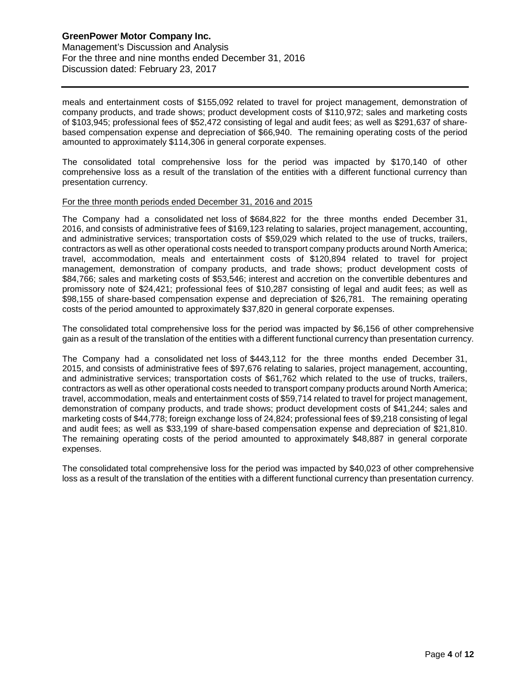meals and entertainment costs of \$155,092 related to travel for project management, demonstration of company products, and trade shows; product development costs of \$110,972; sales and marketing costs of \$103,945; professional fees of \$52,472 consisting of legal and audit fees; as well as \$291,637 of sharebased compensation expense and depreciation of \$66,940. The remaining operating costs of the period amounted to approximately \$114,306 in general corporate expenses.

The consolidated total comprehensive loss for the period was impacted by \$170,140 of other comprehensive loss as a result of the translation of the entities with a different functional currency than presentation currency.

### For the three month periods ended December 31, 2016 and 2015

The Company had a consolidated net loss of \$684,822 for the three months ended December 31, 2016, and consists of administrative fees of \$169,123 relating to salaries, project management, accounting, and administrative services; transportation costs of \$59,029 which related to the use of trucks, trailers, contractors as well as other operational costs needed to transport company products around North America; travel, accommodation, meals and entertainment costs of \$120,894 related to travel for project management, demonstration of company products, and trade shows; product development costs of \$84,766; sales and marketing costs of \$53,546; interest and accretion on the convertible debentures and promissory note of \$24,421; professional fees of \$10,287 consisting of legal and audit fees; as well as \$98,155 of share-based compensation expense and depreciation of \$26,781. The remaining operating costs of the period amounted to approximately \$37,820 in general corporate expenses.

The consolidated total comprehensive loss for the period was impacted by \$6,156 of other comprehensive gain as a result of the translation of the entities with a different functional currency than presentation currency.

The Company had a consolidated net loss of \$443,112 for the three months ended December 31, 2015, and consists of administrative fees of \$97,676 relating to salaries, project management, accounting, and administrative services; transportation costs of \$61,762 which related to the use of trucks, trailers, contractors as well as other operational costs needed to transport company products around North America; travel, accommodation, meals and entertainment costs of \$59,714 related to travel for project management, demonstration of company products, and trade shows; product development costs of \$41,244; sales and marketing costs of \$44,778; foreign exchange loss of 24,824; professional fees of \$9,218 consisting of legal and audit fees; as well as \$33,199 of share-based compensation expense and depreciation of \$21,810. The remaining operating costs of the period amounted to approximately \$48,887 in general corporate expenses.

The consolidated total comprehensive loss for the period was impacted by \$40,023 of other comprehensive loss as a result of the translation of the entities with a different functional currency than presentation currency.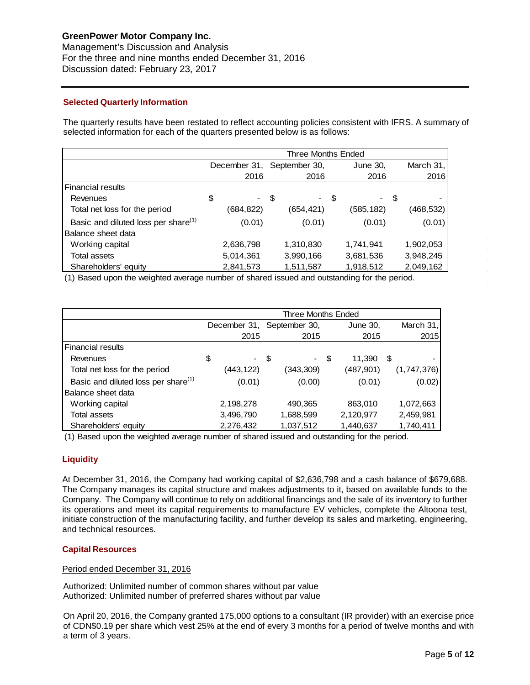# **GreenPower Motor Company Inc.**

Management's Discussion and Analysis For the three and nine months ended December 31, 2016 Discussion dated: February 23, 2017

## **Selected Quarterly Information**

The quarterly results have been restated to reflect accounting policies consistent with IFRS. A summary of selected information for each of the quarters presented below is as follows:

|                                                 | Three Months Ended |               |              |           |  |
|-------------------------------------------------|--------------------|---------------|--------------|-----------|--|
|                                                 | December 31,       | September 30, | June 30,     | March 31, |  |
|                                                 | 2016               | 2016          | 2016         | 2016      |  |
| Financial results                               |                    |               |              |           |  |
| Revenues                                        | \$                 | -\$           | - \$<br>- \$ |           |  |
| Total net loss for the period                   | (684, 822)         | (654, 421)    | (585,182)    | (468,532) |  |
| Basic and diluted loss per share <sup>(1)</sup> | (0.01)             | (0.01)        | (0.01)       | (0.01)    |  |
| Balance sheet data                              |                    |               |              |           |  |
| Working capital                                 | 2,636,798          | 1,310,830     | 1,741,941    | 1,902,053 |  |
| <b>Total assets</b>                             | 5,014,361          | 3,990,166     | 3,681,536    | 3,948,245 |  |
| Shareholders' equity                            | 2,841,573          | 1,511,587     | 1,918,512    | 2,049,162 |  |

(1) Based upon the weighted average number of shared issued and outstanding for the period.

|                                                 | <b>Three Months Ended</b> |              |    |               |     |            |             |
|-------------------------------------------------|---------------------------|--------------|----|---------------|-----|------------|-------------|
|                                                 |                           | December 31, |    | September 30, |     | June 30,   | March 31,   |
|                                                 |                           | 2015         |    | 2015          |     | 2015       | 2015        |
| Financial results                               |                           |              |    |               |     |            |             |
| Revenues                                        | \$                        | $\sim$       | \$ | $\sim$        | -\$ | 11,390     | \$          |
| Total net loss for the period                   |                           | (443,122)    |    | (343,309)     |     | (487, 901) | (1,747,376) |
| Basic and diluted loss per share <sup>(1)</sup> |                           | (0.01)       |    | (0.00)        |     | (0.01)     | (0.02)      |
| Balance sheet data                              |                           |              |    |               |     |            |             |
| Working capital                                 |                           | 2,198,278    |    | 490,365       |     | 863,010    | 1,072,663   |
| Total assets                                    |                           | 3,496,790    |    | 1,688,599     |     | 2,120,977  | 2,459,981   |
| Shareholders' equity                            |                           | 2,276,432    |    | 1,037,512     |     | 1,440,637  | 1,740,411   |

(1) Based upon the weighted average number of shared issued and outstanding for the period.

## **Liquidity**

At December 31, 2016, the Company had working capital of \$2,636,798 and a cash balance of \$679,688. The Company manages its capital structure and makes adjustments to it, based on available funds to the Company. The Company will continue to rely on additional financings and the sale of its inventory to further its operations and meet its capital requirements to manufacture EV vehicles, complete the Altoona test, initiate construction of the manufacturing facility, and further develop its sales and marketing, engineering, and technical resources.

### **Capital Resources**

### Period ended December 31, 2016

Authorized: Unlimited number of common shares without par value Authorized: Unlimited number of preferred shares without par value

On April 20, 2016, the Company granted 175,000 options to a consultant (IR provider) with an exercise price of CDN\$0.19 per share which vest 25% at the end of every 3 months for a period of twelve months and with a term of 3 years.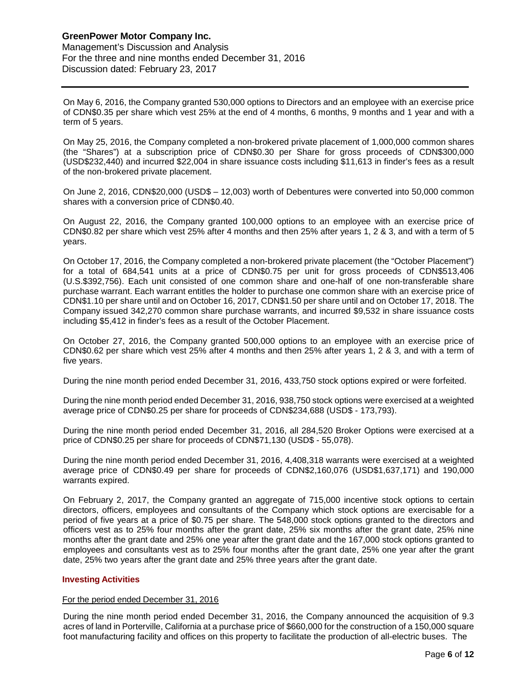On May 6, 2016, the Company granted 530,000 options to Directors and an employee with an exercise price of CDN\$0.35 per share which vest 25% at the end of 4 months, 6 months, 9 months and 1 year and with a term of 5 years.

On May 25, 2016, the Company completed a non-brokered private placement of 1,000,000 common shares (the "Shares") at a subscription price of CDN\$0.30 per Share for gross proceeds of CDN\$300,000 (USD\$232,440) and incurred \$22,004 in share issuance costs including \$11,613 in finder's fees as a result of the non-brokered private placement.

On June 2, 2016, CDN\$20,000 (USD\$ – 12,003) worth of Debentures were converted into 50,000 common shares with a conversion price of CDN\$0.40.

On August 22, 2016, the Company granted 100,000 options to an employee with an exercise price of CDN\$0.82 per share which vest 25% after 4 months and then 25% after years 1, 2 & 3, and with a term of 5 years.

On October 17, 2016, the Company completed a non-brokered private placement (the "October Placement") for a total of 684,541 units at a price of CDN\$0.75 per unit for gross proceeds of CDN\$513,406 (U.S.\$392,756). Each unit consisted of one common share and one-half of one non-transferable share purchase warrant. Each warrant entitles the holder to purchase one common share with an exercise price of CDN\$1.10 per share until and on October 16, 2017, CDN\$1.50 per share until and on October 17, 2018. The Company issued 342,270 common share purchase warrants, and incurred \$9,532 in share issuance costs including \$5,412 in finder's fees as a result of the October Placement.

On October 27, 2016, the Company granted 500,000 options to an employee with an exercise price of CDN\$0.62 per share which vest 25% after 4 months and then 25% after years 1, 2 & 3, and with a term of five years.

During the nine month period ended December 31, 2016, 433,750 stock options expired or were forfeited.

During the nine month period ended December 31, 2016, 938,750 stock options were exercised at a weighted average price of CDN\$0.25 per share for proceeds of CDN\$234,688 (USD\$ - 173,793).

During the nine month period ended December 31, 2016, all 284,520 Broker Options were exercised at a price of CDN\$0.25 per share for proceeds of CDN\$71,130 (USD\$ - 55,078).

During the nine month period ended December 31, 2016, 4,408,318 warrants were exercised at a weighted average price of CDN\$0.49 per share for proceeds of CDN\$2,160,076 (USD\$1,637,171) and 190,000 warrants expired.

On February 2, 2017, the Company granted an aggregate of 715,000 incentive stock options to certain directors, officers, employees and consultants of the Company which stock options are exercisable for a period of five years at a price of \$0.75 per share. The 548,000 stock options granted to the directors and officers vest as to 25% four months after the grant date, 25% six months after the grant date, 25% nine months after the grant date and 25% one year after the grant date and the 167,000 stock options granted to employees and consultants vest as to 25% four months after the grant date, 25% one year after the grant date, 25% two years after the grant date and 25% three years after the grant date.

### **Investing Activities**

#### For the period ended December 31, 2016

During the nine month period ended December 31, 2016, the Company announced the acquisition of 9.3 acres of land in Porterville, California at a purchase price of \$660,000 for the construction of a 150,000 square foot manufacturing facility and offices on this property to facilitate the production of all-electric buses. The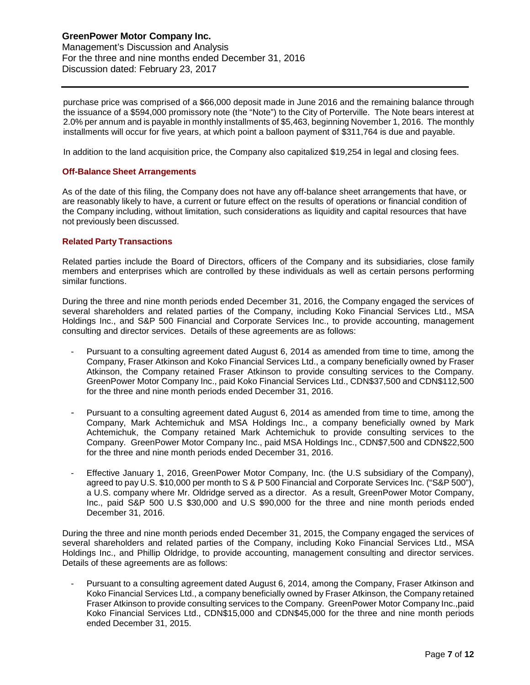purchase price was comprised of a \$66,000 deposit made in June 2016 and the remaining balance through the issuance of a \$594,000 promissory note (the "Note") to the City of Porterville. The Note bears interest at 2.0% per annum and is payable in monthly installments of \$5,463, beginning November 1, 2016. The monthly installments will occur for five years, at which point a balloon payment of \$311,764 is due and payable.

In addition to the land acquisition price, the Company also capitalized \$19,254 in legal and closing fees.

### **Off-Balance Sheet Arrangements**

As of the date of this filing, the Company does not have any off-balance sheet arrangements that have, or are reasonably likely to have, a current or future effect on the results of operations or financial condition of the Company including, without limitation, such considerations as liquidity and capital resources that have not previously been discussed.

### **Related Party Transactions**

Related parties include the Board of Directors, officers of the Company and its subsidiaries, close family members and enterprises which are controlled by these individuals as well as certain persons performing similar functions.

During the three and nine month periods ended December 31, 2016, the Company engaged the services of several shareholders and related parties of the Company, including Koko Financial Services Ltd., MSA Holdings Inc., and S&P 500 Financial and Corporate Services Inc., to provide accounting, management consulting and director services. Details of these agreements are as follows:

- Pursuant to a consulting agreement dated August 6, 2014 as amended from time to time, among the Company, Fraser Atkinson and Koko Financial Services Ltd., a company beneficially owned by Fraser Atkinson, the Company retained Fraser Atkinson to provide consulting services to the Company. GreenPower Motor Company Inc., paid Koko Financial Services Ltd., CDN\$37,500 and CDN\$112,500 for the three and nine month periods ended December 31, 2016.
- Pursuant to a consulting agreement dated August 6, 2014 as amended from time to time, among the Company, Mark Achtemichuk and MSA Holdings Inc., a company beneficially owned by Mark Achtemichuk, the Company retained Mark Achtemichuk to provide consulting services to the Company. GreenPower Motor Company Inc., paid MSA Holdings Inc., CDN\$7,500 and CDN\$22,500 for the three and nine month periods ended December 31, 2016.
- Effective January 1, 2016, GreenPower Motor Company, Inc. (the U.S subsidiary of the Company), agreed to pay U.S. \$10,000 per month to S & P 500 Financial and Corporate Services Inc. ("S&P 500"), a U.S. company where Mr. Oldridge served as a director. As a result, GreenPower Motor Company, Inc., paid S&P 500 U.S \$30,000 and U.S \$90,000 for the three and nine month periods ended December 31, 2016.

During the three and nine month periods ended December 31, 2015, the Company engaged the services of several shareholders and related parties of the Company, including Koko Financial Services Ltd., MSA Holdings Inc., and Phillip Oldridge, to provide accounting, management consulting and director services. Details of these agreements are as follows:

Pursuant to a consulting agreement dated August 6, 2014, among the Company, Fraser Atkinson and Koko Financial Services Ltd., a company beneficially owned by Fraser Atkinson, the Company retained Fraser Atkinson to provide consulting services to the Company. GreenPower Motor Company Inc.,paid Koko Financial Services Ltd., CDN\$15,000 and CDN\$45,000 for the three and nine month periods ended December 31, 2015.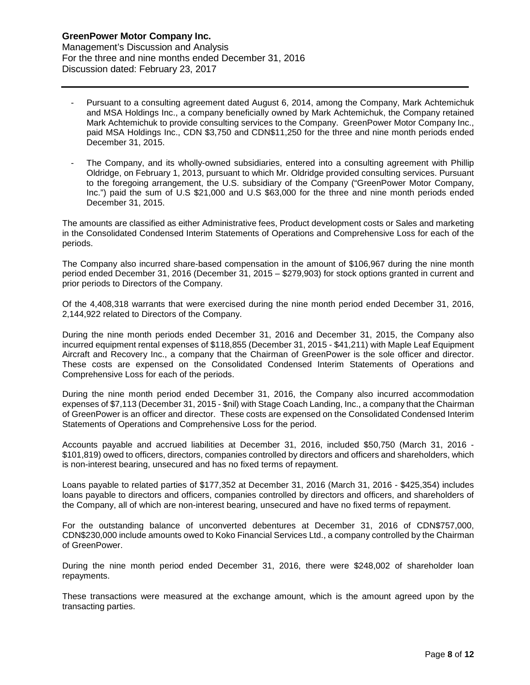- Pursuant to a consulting agreement dated August 6, 2014, among the Company, Mark Achtemichuk and MSA Holdings Inc., a company beneficially owned by Mark Achtemichuk, the Company retained Mark Achtemichuk to provide consulting services to the Company. GreenPower Motor Company Inc., paid MSA Holdings Inc., CDN \$3,750 and CDN\$11,250 for the three and nine month periods ended December 31, 2015.
- The Company, and its wholly-owned subsidiaries, entered into a consulting agreement with Phillip Oldridge, on February 1, 2013, pursuant to which Mr. Oldridge provided consulting services. Pursuant to the foregoing arrangement, the U.S. subsidiary of the Company ("GreenPower Motor Company, Inc.") paid the sum of U.S \$21,000 and U.S \$63,000 for the three and nine month periods ended December 31, 2015.

The amounts are classified as either Administrative fees, Product development costs or Sales and marketing in the Consolidated Condensed Interim Statements of Operations and Comprehensive Loss for each of the periods.

The Company also incurred share-based compensation in the amount of \$106,967 during the nine month period ended December 31, 2016 (December 31, 2015 – \$279,903) for stock options granted in current and prior periods to Directors of the Company.

Of the 4,408,318 warrants that were exercised during the nine month period ended December 31, 2016, 2,144,922 related to Directors of the Company.

During the nine month periods ended December 31, 2016 and December 31, 2015, the Company also incurred equipment rental expenses of \$118,855 (December 31, 2015 - \$41,211) with Maple Leaf Equipment Aircraft and Recovery Inc., a company that the Chairman of GreenPower is the sole officer and director. These costs are expensed on the Consolidated Condensed Interim Statements of Operations and Comprehensive Loss for each of the periods.

During the nine month period ended December 31, 2016, the Company also incurred accommodation expenses of \$7,113 (December 31, 2015 - \$nil) with Stage Coach Landing, Inc., a company that the Chairman of GreenPower is an officer and director. These costs are expensed on the Consolidated Condensed Interim Statements of Operations and Comprehensive Loss for the period.

Accounts payable and accrued liabilities at December 31, 2016, included \$50,750 (March 31, 2016 - \$101,819) owed to officers, directors, companies controlled by directors and officers and shareholders, which is non-interest bearing, unsecured and has no fixed terms of repayment.

Loans payable to related parties of \$177,352 at December 31, 2016 (March 31, 2016 - \$425,354) includes loans payable to directors and officers, companies controlled by directors and officers, and shareholders of the Company, all of which are non-interest bearing, unsecured and have no fixed terms of repayment.

For the outstanding balance of unconverted debentures at December 31, 2016 of CDN\$757,000, CDN\$230,000 include amounts owed to Koko Financial Services Ltd., a company controlled by the Chairman of GreenPower.

During the nine month period ended December 31, 2016, there were \$248,002 of shareholder loan repayments.

These transactions were measured at the exchange amount, which is the amount agreed upon by the transacting parties.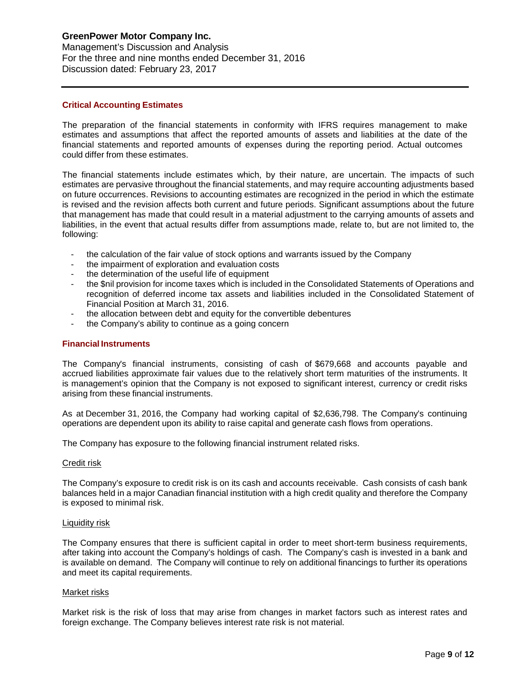## **GreenPower Motor Company Inc.**

Management's Discussion and Analysis For the three and nine months ended December 31, 2016 Discussion dated: February 23, 2017

### **Critical Accounting Estimates**

The preparation of the financial statements in conformity with IFRS requires management to make estimates and assumptions that affect the reported amounts of assets and liabilities at the date of the financial statements and reported amounts of expenses during the reporting period. Actual outcomes could differ from these estimates.

The financial statements include estimates which, by their nature, are uncertain. The impacts of such estimates are pervasive throughout the financial statements, and may require accounting adjustments based on future occurrences. Revisions to accounting estimates are recognized in the period in which the estimate is revised and the revision affects both current and future periods. Significant assumptions about the future that management has made that could result in a material adjustment to the carrying amounts of assets and liabilities, in the event that actual results differ from assumptions made, relate to, but are not limited to, the following:

- the calculation of the fair value of stock options and warrants issued by the Company
- the impairment of exploration and evaluation costs
- the determination of the useful life of equipment
- the \$nil provision for income taxes which is included in the Consolidated Statements of Operations and recognition of deferred income tax assets and liabilities included in the Consolidated Statement of Financial Position at March 31, 2016.
- the allocation between debt and equity for the convertible debentures
- the Company's ability to continue as a going concern

#### **Financial Instruments**

The Company's financial instruments, consisting of cash of \$679,668 and accounts payable and accrued liabilities approximate fair values due to the relatively short term maturities of the instruments. It is management's opinion that the Company is not exposed to significant interest, currency or credit risks arising from these financial instruments.

As at December 31, 2016, the Company had working capital of \$2,636,798. The Company's continuing operations are dependent upon its ability to raise capital and generate cash flows from operations.

The Company has exposure to the following financial instrument related risks.

#### Credit risk

The Company's exposure to credit risk is on its cash and accounts receivable. Cash consists of cash bank balances held in a major Canadian financial institution with a high credit quality and therefore the Company is exposed to minimal risk.

#### Liquidity risk

The Company ensures that there is sufficient capital in order to meet short-term business requirements, after taking into account the Company's holdings of cash. The Company's cash is invested in a bank and is available on demand. The Company will continue to rely on additional financings to further its operations and meet its capital requirements.

#### Market risks

Market risk is the risk of loss that may arise from changes in market factors such as interest rates and foreign exchange. The Company believes interest rate risk is not material.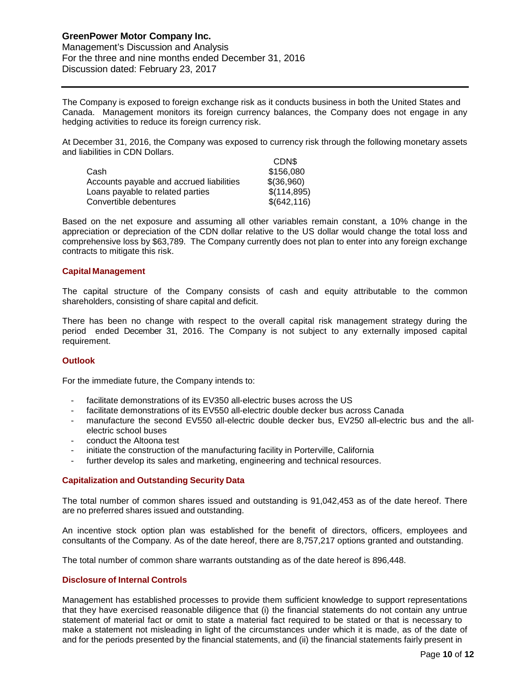The Company is exposed to foreign exchange risk as it conducts business in both the United States and Canada. Management monitors its foreign currency balances, the Company does not engage in any hedging activities to reduce its foreign currency risk.

At December 31, 2016, the Company was exposed to currency risk through the following monetary assets and liabilities in CDN Dollars.  $C<sub>0</sub>$ 

|                                          | <b>UDN</b>   |
|------------------------------------------|--------------|
| Cash                                     | \$156,080    |
| Accounts payable and accrued liabilities | \$(36,960)   |
| Loans payable to related parties         | \$(114,895)  |
| Convertible debentures                   | \$(642, 116) |

Based on the net exposure and assuming all other variables remain constant, a 10% change in the appreciation or depreciation of the CDN dollar relative to the US dollar would change the total loss and comprehensive loss by \$63,789. The Company currently does not plan to enter into any foreign exchange contracts to mitigate this risk.

## **Capital Management**

The capital structure of the Company consists of cash and equity attributable to the common shareholders, consisting of share capital and deficit.

There has been no change with respect to the overall capital risk management strategy during the period ended December 31, 2016. The Company is not subject to any externally imposed capital requirement.

### **Outlook**

For the immediate future, the Company intends to:

- facilitate demonstrations of its EV350 all-electric buses across the US
- facilitate demonstrations of its EV550 all-electric double decker bus across Canada
- manufacture the second EV550 all-electric double decker bus, EV250 all-electric bus and the allelectric school buses
- conduct the Altoona test
- initiate the construction of the manufacturing facility in Porterville, California
- further develop its sales and marketing, engineering and technical resources.

### **Capitalization and Outstanding Security Data**

The total number of common shares issued and outstanding is 91,042,453 as of the date hereof. There are no preferred shares issued and outstanding.

An incentive stock option plan was established for the benefit of directors, officers, employees and consultants of the Company. As of the date hereof, there are 8,757,217 options granted and outstanding.

The total number of common share warrants outstanding as of the date hereof is 896,448.

### **Disclosure of Internal Controls**

Management has established processes to provide them sufficient knowledge to support representations that they have exercised reasonable diligence that (i) the financial statements do not contain any untrue statement of material fact or omit to state a material fact required to be stated or that is necessary to make a statement not misleading in light of the circumstances under which it is made, as of the date of and for the periods presented by the financial statements, and (ii) the financial statements fairly present in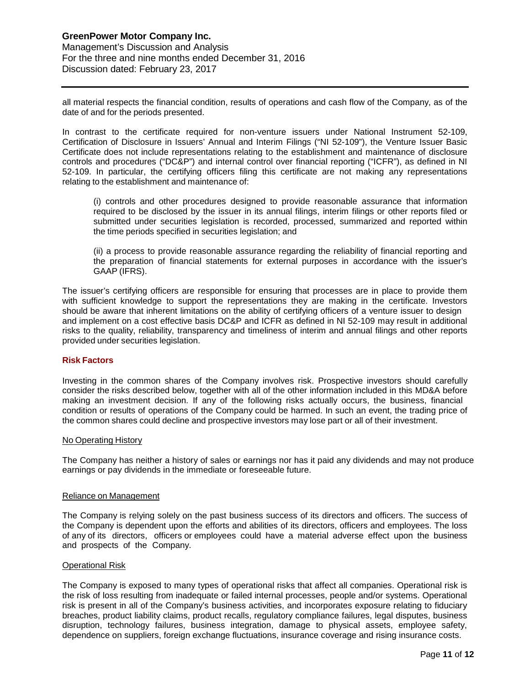all material respects the financial condition, results of operations and cash flow of the Company, as of the date of and for the periods presented.

In contrast to the certificate required for non-venture issuers under National Instrument 52-109, Certification of Disclosure in Issuers' Annual and Interim Filings ("NI 52-109"), the Venture Issuer Basic Certificate does not include representations relating to the establishment and maintenance of disclosure controls and procedures ("DC&P") and internal control over financial reporting ("ICFR"), as defined in NI 52-109. In particular, the certifying officers filing this certificate are not making any representations relating to the establishment and maintenance of:

(i) controls and other procedures designed to provide reasonable assurance that information required to be disclosed by the issuer in its annual filings, interim filings or other reports filed or submitted under securities legislation is recorded, processed, summarized and reported within the time periods specified in securities legislation; and

(ii) a process to provide reasonable assurance regarding the reliability of financial reporting and the preparation of financial statements for external purposes in accordance with the issuer's GAAP (IFRS).

The issuer's certifying officers are responsible for ensuring that processes are in place to provide them with sufficient knowledge to support the representations they are making in the certificate. Investors should be aware that inherent limitations on the ability of certifying officers of a venture issuer to design and implement on a cost effective basis DC&P and ICFR as defined in NI 52-109 may result in additional risks to the quality, reliability, transparency and timeliness of interim and annual filings and other reports provided under securities legislation.

### **Risk Factors**

Investing in the common shares of the Company involves risk. Prospective investors should carefully consider the risks described below, together with all of the other information included in this MD&A before making an investment decision. If any of the following risks actually occurs, the business, financial condition or results of operations of the Company could be harmed. In such an event, the trading price of the common shares could decline and prospective investors may lose part or all of their investment.

### No Operating History

The Company has neither a history of sales or earnings nor has it paid any dividends and may not produce earnings or pay dividends in the immediate or foreseeable future.

#### Reliance on Management

The Company is relying solely on the past business success of its directors and officers. The success of the Company is dependent upon the efforts and abilities of its directors, officers and employees. The loss of any of its directors, officers or employees could have a material adverse effect upon the business and prospects of the Company.

### Operational Risk

The Company is exposed to many types of operational risks that affect all companies. Operational risk is the risk of loss resulting from inadequate or failed internal processes, people and/or systems. Operational risk is present in all of the Company's business activities, and incorporates exposure relating to fiduciary breaches, product liability claims, product recalls, regulatory compliance failures, legal disputes, business disruption, technology failures, business integration, damage to physical assets, employee safety, dependence on suppliers, foreign exchange fluctuations, insurance coverage and rising insurance costs.